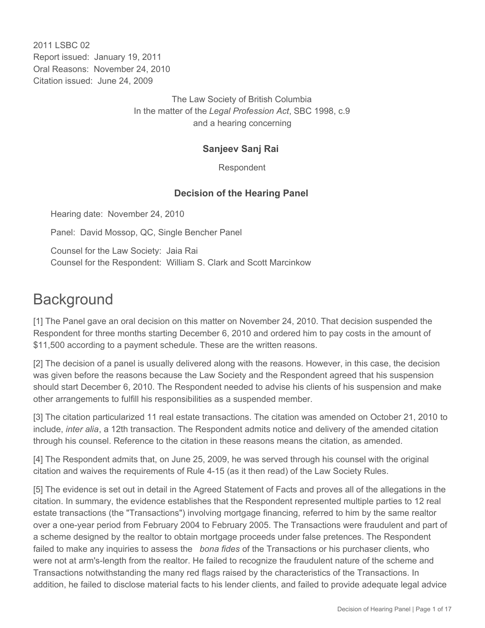2011 I SBC 02 Report issued: January 19, 2011 Oral Reasons: November 24, 2010 Citation issued: June 24, 2009

> The Law Society of British Columbia In the matter of the *Legal Profession Act*, SBC 1998, c.9 and a hearing concerning

#### **Sanjeev Sanj Rai**

Respondent

### **Decision of the Hearing Panel**

Hearing date: November 24, 2010

Panel: David Mossop, QC, Single Bencher Panel

Counsel for the Law Society: Jaia Rai Counsel for the Respondent: William S. Clark and Scott Marcinkow

# **Background**

[1] The Panel gave an oral decision on this matter on November 24, 2010. That decision suspended the Respondent for three months starting December 6, 2010 and ordered him to pay costs in the amount of \$11,500 according to a payment schedule. These are the written reasons.

[2] The decision of a panel is usually delivered along with the reasons. However, in this case, the decision was given before the reasons because the Law Society and the Respondent agreed that his suspension should start December 6, 2010. The Respondent needed to advise his clients of his suspension and make other arrangements to fulfill his responsibilities as a suspended member.

[3] The citation particularized 11 real estate transactions. The citation was amended on October 21, 2010 to include, *inter alia*, a 12th transaction. The Respondent admits notice and delivery of the amended citation through his counsel. Reference to the citation in these reasons means the citation, as amended.

[4] The Respondent admits that, on June 25, 2009, he was served through his counsel with the original citation and waives the requirements of Rule 4-15 (as it then read) of the Law Society Rules.

[5] The evidence is set out in detail in the Agreed Statement of Facts and proves all of the allegations in the citation. In summary, the evidence establishes that the Respondent represented multiple parties to 12 real estate transactions (the "Transactions") involving mortgage financing, referred to him by the same realtor over a one-year period from February 2004 to February 2005. The Transactions were fraudulent and part of a scheme designed by the realtor to obtain mortgage proceeds under false pretences. The Respondent failed to make any inquiries to assess the *bona fides* of the Transactions or his purchaser clients, who were not at arm's-length from the realtor. He failed to recognize the fraudulent nature of the scheme and Transactions notwithstanding the many red flags raised by the characteristics of the Transactions. In addition, he failed to disclose material facts to his lender clients, and failed to provide adequate legal advice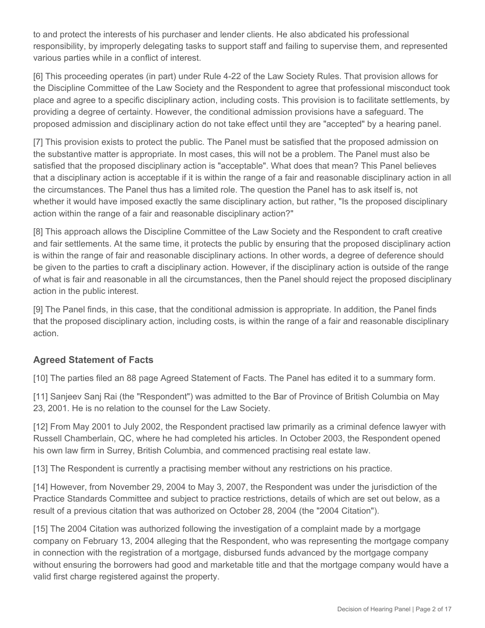to and protect the interests of his purchaser and lender clients. He also abdicated his professional responsibility, by improperly delegating tasks to support staff and failing to supervise them, and represented various parties while in a conflict of interest.

[6] This proceeding operates (in part) under Rule 4-22 of the Law Society Rules. That provision allows for the Discipline Committee of the Law Society and the Respondent to agree that professional misconduct took place and agree to a specific disciplinary action, including costs. This provision is to facilitate settlements, by providing a degree of certainty. However, the conditional admission provisions have a safeguard. The proposed admission and disciplinary action do not take effect until they are "accepted" by a hearing panel.

[7] This provision exists to protect the public. The Panel must be satisfied that the proposed admission on the substantive matter is appropriate. In most cases, this will not be a problem. The Panel must also be satisfied that the proposed disciplinary action is "acceptable". What does that mean? This Panel believes that a disciplinary action is acceptable if it is within the range of a fair and reasonable disciplinary action in all the circumstances. The Panel thus has a limited role. The question the Panel has to ask itself is, not whether it would have imposed exactly the same disciplinary action, but rather, "Is the proposed disciplinary action within the range of a fair and reasonable disciplinary action?"

[8] This approach allows the Discipline Committee of the Law Society and the Respondent to craft creative and fair settlements. At the same time, it protects the public by ensuring that the proposed disciplinary action is within the range of fair and reasonable disciplinary actions. In other words, a degree of deference should be given to the parties to craft a disciplinary action. However, if the disciplinary action is outside of the range of what is fair and reasonable in all the circumstances, then the Panel should reject the proposed disciplinary action in the public interest.

[9] The Panel finds, in this case, that the conditional admission is appropriate. In addition, the Panel finds that the proposed disciplinary action, including costs, is within the range of a fair and reasonable disciplinary action.

## **Agreed Statement of Facts**

[10] The parties filed an 88 page Agreed Statement of Facts. The Panel has edited it to a summary form.

[11] Sanjeev Sanj Rai (the "Respondent") was admitted to the Bar of Province of British Columbia on May 23, 2001. He is no relation to the counsel for the Law Society.

[12] From May 2001 to July 2002, the Respondent practised law primarily as a criminal defence lawyer with Russell Chamberlain, QC, where he had completed his articles. In October 2003, the Respondent opened his own law firm in Surrey, British Columbia, and commenced practising real estate law.

[13] The Respondent is currently a practising member without any restrictions on his practice.

[14] However, from November 29, 2004 to May 3, 2007, the Respondent was under the jurisdiction of the Practice Standards Committee and subject to practice restrictions, details of which are set out below, as a result of a previous citation that was authorized on October 28, 2004 (the "2004 Citation").

[15] The 2004 Citation was authorized following the investigation of a complaint made by a mortgage company on February 13, 2004 alleging that the Respondent, who was representing the mortgage company in connection with the registration of a mortgage, disbursed funds advanced by the mortgage company without ensuring the borrowers had good and marketable title and that the mortgage company would have a valid first charge registered against the property.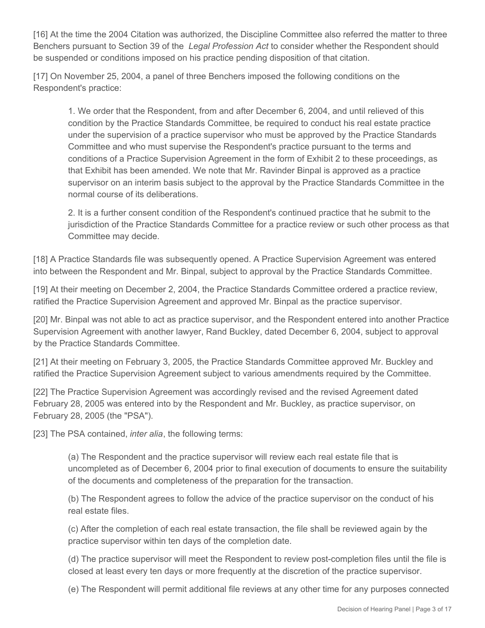[16] At the time the 2004 Citation was authorized, the Discipline Committee also referred the matter to three Benchers pursuant to Section 39 of the *Legal Profession Act* to consider whether the Respondent should be suspended or conditions imposed on his practice pending disposition of that citation.

[17] On November 25, 2004, a panel of three Benchers imposed the following conditions on the Respondent's practice:

1. We order that the Respondent, from and after December 6, 2004, and until relieved of this condition by the Practice Standards Committee, be required to conduct his real estate practice under the supervision of a practice supervisor who must be approved by the Practice Standards Committee and who must supervise the Respondent's practice pursuant to the terms and conditions of a Practice Supervision Agreement in the form of Exhibit 2 to these proceedings, as that Exhibit has been amended. We note that Mr. Ravinder Binpal is approved as a practice supervisor on an interim basis subject to the approval by the Practice Standards Committee in the normal course of its deliberations.

2. It is a further consent condition of the Respondent's continued practice that he submit to the jurisdiction of the Practice Standards Committee for a practice review or such other process as that Committee may decide.

[18] A Practice Standards file was subsequently opened. A Practice Supervision Agreement was entered into between the Respondent and Mr. Binpal, subject to approval by the Practice Standards Committee.

[19] At their meeting on December 2, 2004, the Practice Standards Committee ordered a practice review, ratified the Practice Supervision Agreement and approved Mr. Binpal as the practice supervisor.

[20] Mr. Binpal was not able to act as practice supervisor, and the Respondent entered into another Practice Supervision Agreement with another lawyer, Rand Buckley, dated December 6, 2004, subject to approval by the Practice Standards Committee.

[21] At their meeting on February 3, 2005, the Practice Standards Committee approved Mr. Buckley and ratified the Practice Supervision Agreement subject to various amendments required by the Committee.

[22] The Practice Supervision Agreement was accordingly revised and the revised Agreement dated February 28, 2005 was entered into by the Respondent and Mr. Buckley, as practice supervisor, on February 28, 2005 (the "PSA").

[23] The PSA contained, *inter alia*, the following terms:

(a) The Respondent and the practice supervisor will review each real estate file that is uncompleted as of December 6, 2004 prior to final execution of documents to ensure the suitability of the documents and completeness of the preparation for the transaction.

(b) The Respondent agrees to follow the advice of the practice supervisor on the conduct of his real estate files.

(c) After the completion of each real estate transaction, the file shall be reviewed again by the practice supervisor within ten days of the completion date.

(d) The practice supervisor will meet the Respondent to review post-completion files until the file is closed at least every ten days or more frequently at the discretion of the practice supervisor.

(e) The Respondent will permit additional file reviews at any other time for any purposes connected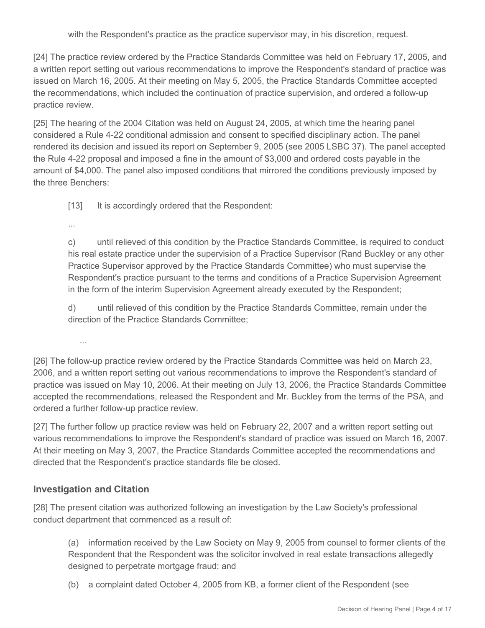with the Respondent's practice as the practice supervisor may, in his discretion, request.

[24] The practice review ordered by the Practice Standards Committee was held on February 17, 2005, and a written report setting out various recommendations to improve the Respondent's standard of practice was issued on March 16, 2005. At their meeting on May 5, 2005, the Practice Standards Committee accepted the recommendations, which included the continuation of practice supervision, and ordered a follow-up practice review.

[25] The hearing of the 2004 Citation was held on August 24, 2005, at which time the hearing panel considered a Rule 4-22 conditional admission and consent to specified disciplinary action. The panel rendered its decision and issued its report on September 9, 2005 (see 2005 LSBC 37). The panel accepted the Rule 4-22 proposal and imposed a fine in the amount of \$3,000 and ordered costs payable in the amount of \$4,000. The panel also imposed conditions that mirrored the conditions previously imposed by the three Benchers:

[13] It is accordingly ordered that the Respondent:

...

c) until relieved of this condition by the Practice Standards Committee, is required to conduct his real estate practice under the supervision of a Practice Supervisor (Rand Buckley or any other Practice Supervisor approved by the Practice Standards Committee) who must supervise the Respondent's practice pursuant to the terms and conditions of a Practice Supervision Agreement in the form of the interim Supervision Agreement already executed by the Respondent;

d) until relieved of this condition by the Practice Standards Committee, remain under the direction of the Practice Standards Committee;

...

[26] The follow-up practice review ordered by the Practice Standards Committee was held on March 23, 2006, and a written report setting out various recommendations to improve the Respondent's standard of practice was issued on May 10, 2006. At their meeting on July 13, 2006, the Practice Standards Committee accepted the recommendations, released the Respondent and Mr. Buckley from the terms of the PSA, and ordered a further follow-up practice review.

[27] The further follow up practice review was held on February 22, 2007 and a written report setting out various recommendations to improve the Respondent's standard of practice was issued on March 16, 2007. At their meeting on May 3, 2007, the Practice Standards Committee accepted the recommendations and directed that the Respondent's practice standards file be closed.

## **Investigation and Citation**

[28] The present citation was authorized following an investigation by the Law Society's professional conduct department that commenced as a result of:

(a) information received by the Law Society on May 9, 2005 from counsel to former clients of the Respondent that the Respondent was the solicitor involved in real estate transactions allegedly designed to perpetrate mortgage fraud; and

(b) a complaint dated October 4, 2005 from KB, a former client of the Respondent (see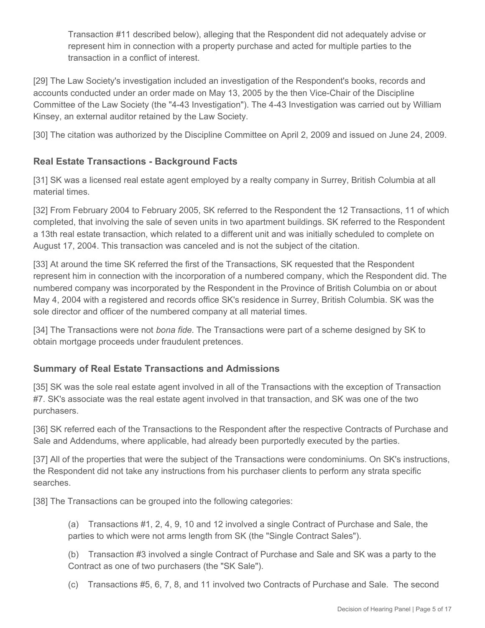Transaction #11 described below), alleging that the Respondent did not adequately advise or represent him in connection with a property purchase and acted for multiple parties to the transaction in a conflict of interest.

[29] The Law Society's investigation included an investigation of the Respondent's books, records and accounts conducted under an order made on May 13, 2005 by the then Vice-Chair of the Discipline Committee of the Law Society (the "4-43 Investigation"). The 4-43 Investigation was carried out by William Kinsey, an external auditor retained by the Law Society.

[30] The citation was authorized by the Discipline Committee on April 2, 2009 and issued on June 24, 2009.

# **Real Estate Transactions - Background Facts**

[31] SK was a licensed real estate agent employed by a realty company in Surrey, British Columbia at all material times.

[32] From February 2004 to February 2005, SK referred to the Respondent the 12 Transactions, 11 of which completed, that involving the sale of seven units in two apartment buildings. SK referred to the Respondent a 13th real estate transaction, which related to a different unit and was initially scheduled to complete on August 17, 2004. This transaction was canceled and is not the subject of the citation.

[33] At around the time SK referred the first of the Transactions, SK requested that the Respondent represent him in connection with the incorporation of a numbered company, which the Respondent did. The numbered company was incorporated by the Respondent in the Province of British Columbia on or about May 4, 2004 with a registered and records office SK's residence in Surrey, British Columbia. SK was the sole director and officer of the numbered company at all material times.

[34] The Transactions were not *bona fide*. The Transactions were part of a scheme designed by SK to obtain mortgage proceeds under fraudulent pretences.

## **Summary of Real Estate Transactions and Admissions**

[35] SK was the sole real estate agent involved in all of the Transactions with the exception of Transaction #7. SK's associate was the real estate agent involved in that transaction, and SK was one of the two purchasers.

[36] SK referred each of the Transactions to the Respondent after the respective Contracts of Purchase and Sale and Addendums, where applicable, had already been purportedly executed by the parties.

[37] All of the properties that were the subject of the Transactions were condominiums. On SK's instructions, the Respondent did not take any instructions from his purchaser clients to perform any strata specific searches.

[38] The Transactions can be grouped into the following categories:

(a) Transactions #1, 2, 4, 9, 10 and 12 involved a single Contract of Purchase and Sale, the parties to which were not arms length from SK (the "Single Contract Sales").

(b) Transaction #3 involved a single Contract of Purchase and Sale and SK was a party to the Contract as one of two purchasers (the "SK Sale").

(c) Transactions #5, 6, 7, 8, and 11 involved two Contracts of Purchase and Sale. The second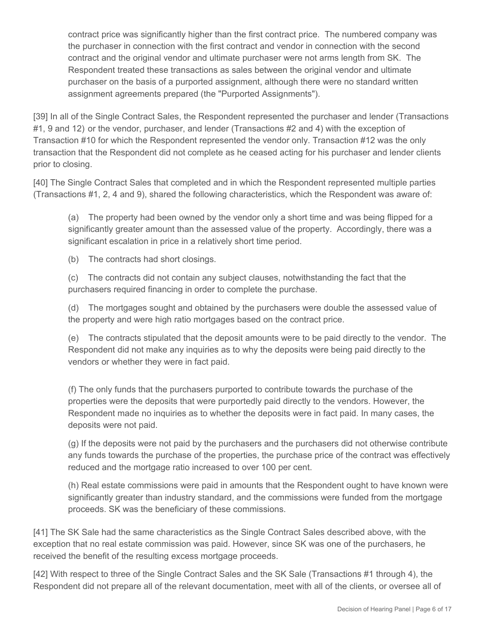contract price was significantly higher than the first contract price. The numbered company was the purchaser in connection with the first contract and vendor in connection with the second contract and the original vendor and ultimate purchaser were not arms length from SK. The Respondent treated these transactions as sales between the original vendor and ultimate purchaser on the basis of a purported assignment, although there were no standard written assignment agreements prepared (the "Purported Assignments").

[39] In all of the Single Contract Sales, the Respondent represented the purchaser and lender (Transactions #1, 9 and 12) or the vendor, purchaser, and lender (Transactions #2 and 4) with the exception of Transaction #10 for which the Respondent represented the vendor only. Transaction #12 was the only transaction that the Respondent did not complete as he ceased acting for his purchaser and lender clients prior to closing.

[40] The Single Contract Sales that completed and in which the Respondent represented multiple parties (Transactions #1, 2, 4 and 9), shared the following characteristics, which the Respondent was aware of:

(a) The property had been owned by the vendor only a short time and was being flipped for a significantly greater amount than the assessed value of the property. Accordingly, there was a significant escalation in price in a relatively short time period.

(b) The contracts had short closings.

(c) The contracts did not contain any subject clauses, notwithstanding the fact that the purchasers required financing in order to complete the purchase.

(d) The mortgages sought and obtained by the purchasers were double the assessed value of the property and were high ratio mortgages based on the contract price.

(e) The contracts stipulated that the deposit amounts were to be paid directly to the vendor. The Respondent did not make any inquiries as to why the deposits were being paid directly to the vendors or whether they were in fact paid.

(f) The only funds that the purchasers purported to contribute towards the purchase of the properties were the deposits that were purportedly paid directly to the vendors. However, the Respondent made no inquiries as to whether the deposits were in fact paid. In many cases, the deposits were not paid.

(g) If the deposits were not paid by the purchasers and the purchasers did not otherwise contribute any funds towards the purchase of the properties, the purchase price of the contract was effectively reduced and the mortgage ratio increased to over 100 per cent.

(h) Real estate commissions were paid in amounts that the Respondent ought to have known were significantly greater than industry standard, and the commissions were funded from the mortgage proceeds. SK was the beneficiary of these commissions.

[41] The SK Sale had the same characteristics as the Single Contract Sales described above, with the exception that no real estate commission was paid. However, since SK was one of the purchasers, he received the benefit of the resulting excess mortgage proceeds.

[42] With respect to three of the Single Contract Sales and the SK Sale (Transactions #1 through 4), the Respondent did not prepare all of the relevant documentation, meet with all of the clients, or oversee all of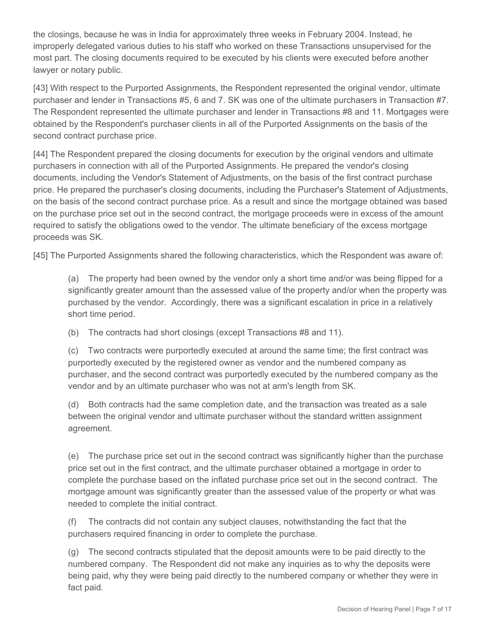the closings, because he was in India for approximately three weeks in February 2004. Instead, he improperly delegated various duties to his staff who worked on these Transactions unsupervised for the most part. The closing documents required to be executed by his clients were executed before another lawyer or notary public.

[43] With respect to the Purported Assignments, the Respondent represented the original vendor, ultimate purchaser and lender in Transactions #5, 6 and 7. SK was one of the ultimate purchasers in Transaction #7. The Respondent represented the ultimate purchaser and lender in Transactions #8 and 11. Mortgages were obtained by the Respondent's purchaser clients in all of the Purported Assignments on the basis of the second contract purchase price.

[44] The Respondent prepared the closing documents for execution by the original vendors and ultimate purchasers in connection with all of the Purported Assignments. He prepared the vendor's closing documents, including the Vendor's Statement of Adjustments, on the basis of the first contract purchase price. He prepared the purchaser's closing documents, including the Purchaser's Statement of Adjustments, on the basis of the second contract purchase price. As a result and since the mortgage obtained was based on the purchase price set out in the second contract, the mortgage proceeds were in excess of the amount required to satisfy the obligations owed to the vendor. The ultimate beneficiary of the excess mortgage proceeds was SK.

[45] The Purported Assignments shared the following characteristics, which the Respondent was aware of:

(a) The property had been owned by the vendor only a short time and/or was being flipped for a significantly greater amount than the assessed value of the property and/or when the property was purchased by the vendor. Accordingly, there was a significant escalation in price in a relatively short time period.

(b) The contracts had short closings (except Transactions #8 and 11).

(c) Two contracts were purportedly executed at around the same time; the first contract was purportedly executed by the registered owner as vendor and the numbered company as purchaser, and the second contract was purportedly executed by the numbered company as the vendor and by an ultimate purchaser who was not at arm's length from SK.

(d) Both contracts had the same completion date, and the transaction was treated as a sale between the original vendor and ultimate purchaser without the standard written assignment agreement.

(e) The purchase price set out in the second contract was significantly higher than the purchase price set out in the first contract, and the ultimate purchaser obtained a mortgage in order to complete the purchase based on the inflated purchase price set out in the second contract. The mortgage amount was significantly greater than the assessed value of the property or what was needed to complete the initial contract.

(f) The contracts did not contain any subject clauses, notwithstanding the fact that the purchasers required financing in order to complete the purchase.

(g) The second contracts stipulated that the deposit amounts were to be paid directly to the numbered company. The Respondent did not make any inquiries as to why the deposits were being paid, why they were being paid directly to the numbered company or whether they were in fact paid.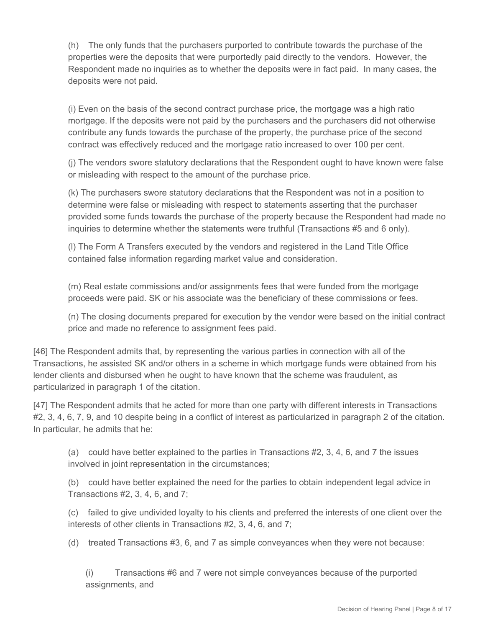(h) The only funds that the purchasers purported to contribute towards the purchase of the properties were the deposits that were purportedly paid directly to the vendors. However, the Respondent made no inquiries as to whether the deposits were in fact paid. In many cases, the deposits were not paid.

(i) Even on the basis of the second contract purchase price, the mortgage was a high ratio mortgage. If the deposits were not paid by the purchasers and the purchasers did not otherwise contribute any funds towards the purchase of the property, the purchase price of the second contract was effectively reduced and the mortgage ratio increased to over 100 per cent.

(j) The vendors swore statutory declarations that the Respondent ought to have known were false or misleading with respect to the amount of the purchase price.

(k) The purchasers swore statutory declarations that the Respondent was not in a position to determine were false or misleading with respect to statements asserting that the purchaser provided some funds towards the purchase of the property because the Respondent had made no inquiries to determine whether the statements were truthful (Transactions #5 and 6 only).

(l) The Form A Transfers executed by the vendors and registered in the Land Title Office contained false information regarding market value and consideration.

(m) Real estate commissions and/or assignments fees that were funded from the mortgage proceeds were paid. SK or his associate was the beneficiary of these commissions or fees.

(n) The closing documents prepared for execution by the vendor were based on the initial contract price and made no reference to assignment fees paid.

[46] The Respondent admits that, by representing the various parties in connection with all of the Transactions, he assisted SK and/or others in a scheme in which mortgage funds were obtained from his lender clients and disbursed when he ought to have known that the scheme was fraudulent, as particularized in paragraph 1 of the citation.

[47] The Respondent admits that he acted for more than one party with different interests in Transactions #2, 3, 4, 6, 7, 9, and 10 despite being in a conflict of interest as particularized in paragraph 2 of the citation. In particular, he admits that he:

(a) could have better explained to the parties in Transactions #2, 3, 4, 6, and 7 the issues involved in joint representation in the circumstances;

(b) could have better explained the need for the parties to obtain independent legal advice in Transactions #2, 3, 4, 6, and 7;

(c) failed to give undivided loyalty to his clients and preferred the interests of one client over the interests of other clients in Transactions #2, 3, 4, 6, and 7;

(d) treated Transactions #3, 6, and 7 as simple conveyances when they were not because:

(i) Transactions #6 and 7 were not simple conveyances because of the purported assignments, and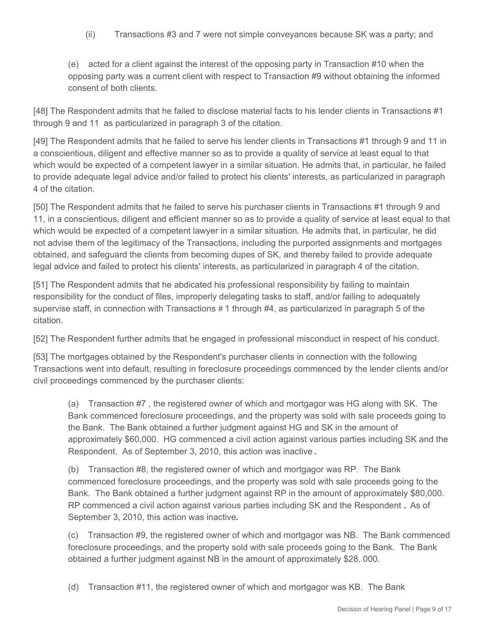(ii) Transactions #3 and 7 were not simple conveyances because SK was a party; and

(e) acted for a client against the interest of the opposing party in Transaction #10 when the opposing party was a current client with respect to Transaction #9 without obtaining the informed consent of both clients.

[48] The Respondent admits that he failed to disclose material facts to his lender clients in Transactions #1 through 9 and 11 as particularized in paragraph 3 of the citation.

[49] The Respondent admits that he failed to serve his lender clients in Transactions #1 through 9 and 11 in a conscientious, diligent and effective manner so as to provide a quality of service at least equal to that which would be expected of a competent lawyer in a similar situation. He admits that, in particular, he failed to provide adequate legal advice and/or failed to protect his clients' interests, as particularized in paragraph 4 of the citation.

[50] The Respondent admits that he failed to serve his purchaser clients in Transactions #1 through 9 and 11, in a conscientious, diligent and efficient manner so as to provide a quality of service at least equal to that which would be expected of a competent lawyer in a similar situation. He admits that, in particular, he did not advise them of the legitimacy of the Transactions, including the purported assignments and mortgages obtained, and safeguard the clients from becoming dupes of SK, and thereby failed to provide adequate legal advice and failed to protect his clients' interests, as particularized in paragraph 4 of the citation.

[51] The Respondent admits that he abdicated his professional responsibility by failing to maintain responsibility for the conduct of files, improperly delegating tasks to staff, and/or failing to adequately supervise staff, in connection with Transactions **#** 1 through #4, as particularized in paragraph 5 of the citation.

[52] The Respondent further admits that he engaged in professional misconduct in respect of his conduct.

[53] The mortgages obtained by the Respondent's purchaser clients in connection with the following Transactions went into default, resulting in foreclosure proceedings commenced by the lender clients and/or civil proceedings commenced by the purchaser clients:

(a) Transaction #7 , the registered owner of which and mortgagor was HG along with SK. The Bank commenced foreclosure proceedings, and the property was sold with sale proceeds going to the Bank. The Bank obtained a further judgment against HG and SK in the amount of approximately \$60,000. HG commenced a civil action against various parties including SK and the Respondent. As of September 3, 2010, this action was inactive **.**

(b) Transaction #8, the registered owner of which and mortgagor was RP. The Bank commenced foreclosure proceedings, and the property was sold with sale proceeds going to the Bank. The Bank obtained a further judgment against RP in the amount of approximately \$80,000. RP commenced a civil action against various parties including SK and the Respondent **.** As of September 3, 2010, this action was inactive**.**

(c) Transaction #9, the registered owner of which and mortgagor was NB. The Bank commenced foreclosure proceedings, and the property sold with sale proceeds going to the Bank. The Bank obtained a further judgment against NB in the amount of approximately \$28, 000.

(d) Transaction #11, the registered owner of which and mortgagor was KB. The Bank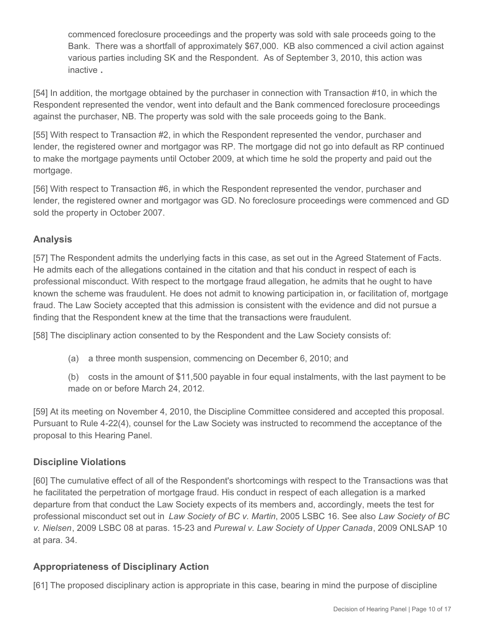commenced foreclosure proceedings and the property was sold with sale proceeds going to the Bank. There was a shortfall of approximately \$67,000. KB also commenced a civil action against various parties including SK and the Respondent. As of September 3, 2010, this action was inactive **.**

[54] In addition, the mortgage obtained by the purchaser in connection with Transaction #10, in which the Respondent represented the vendor, went into default and the Bank commenced foreclosure proceedings against the purchaser, NB. The property was sold with the sale proceeds going to the Bank.

[55] With respect to Transaction #2, in which the Respondent represented the vendor, purchaser and lender, the registered owner and mortgagor was RP. The mortgage did not go into default as RP continued to make the mortgage payments until October 2009, at which time he sold the property and paid out the mortgage.

[56] With respect to Transaction #6, in which the Respondent represented the vendor, purchaser and lender, the registered owner and mortgagor was GD. No foreclosure proceedings were commenced and GD sold the property in October 2007.

# **Analysis**

[57] The Respondent admits the underlying facts in this case, as set out in the Agreed Statement of Facts. He admits each of the allegations contained in the citation and that his conduct in respect of each is professional misconduct. With respect to the mortgage fraud allegation, he admits that he ought to have known the scheme was fraudulent. He does not admit to knowing participation in, or facilitation of, mortgage fraud. The Law Society accepted that this admission is consistent with the evidence and did not pursue a finding that the Respondent knew at the time that the transactions were fraudulent.

[58] The disciplinary action consented to by the Respondent and the Law Society consists of:

- (a) a three month suspension, commencing on December 6, 2010; and
- (b) costs in the amount of \$11,500 payable in four equal instalments, with the last payment to be made on or before March 24, 2012.

[59] At its meeting on November 4, 2010, the Discipline Committee considered and accepted this proposal. Pursuant to Rule 4-22(4), counsel for the Law Society was instructed to recommend the acceptance of the proposal to this Hearing Panel.

# **Discipline Violations**

[60] The cumulative effect of all of the Respondent's shortcomings with respect to the Transactions was that he facilitated the perpetration of mortgage fraud. His conduct in respect of each allegation is a marked departure from that conduct the Law Society expects of its members and, accordingly, meets the test for professional misconduct set out in *Law Society of BC v. Martin*, 2005 LSBC 16. See also *Law Society of BC v. Nielsen*, 2009 LSBC 08 at paras. 15-23 and *Purewal v. Law Society of Upper Canada*, 2009 ONLSAP 10 at para. 34.

# **Appropriateness of Disciplinary Action**

[61] The proposed disciplinary action is appropriate in this case, bearing in mind the purpose of discipline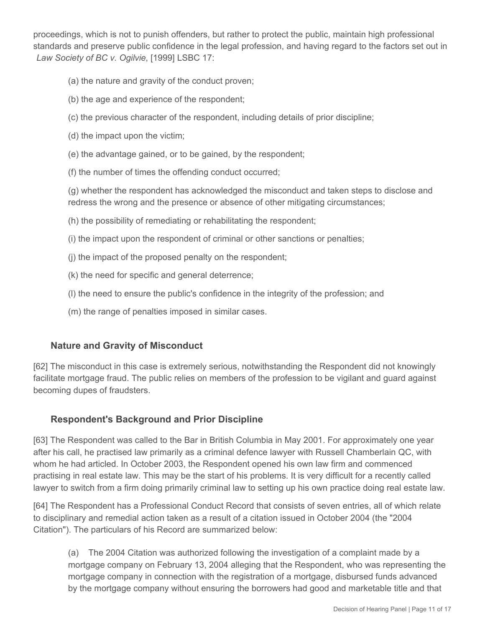proceedings, which is not to punish offenders, but rather to protect the public, maintain high professional standards and preserve public confidence in the legal profession, and having regard to the factors set out in *Law Society of BC v. Ogilvie*, [1999] LSBC 17:

- (a) the nature and gravity of the conduct proven;
- (b) the age and experience of the respondent;
- (c) the previous character of the respondent, including details of prior discipline;
- (d) the impact upon the victim;
- (e) the advantage gained, or to be gained, by the respondent;
- (f) the number of times the offending conduct occurred;

(g) whether the respondent has acknowledged the misconduct and taken steps to disclose and redress the wrong and the presence or absence of other mitigating circumstances;

- (h) the possibility of remediating or rehabilitating the respondent;
- (i) the impact upon the respondent of criminal or other sanctions or penalties;
- (j) the impact of the proposed penalty on the respondent;
- (k) the need for specific and general deterrence;
- (l) the need to ensure the public's confidence in the integrity of the profession; and
- (m) the range of penalties imposed in similar cases.

#### **Nature and Gravity of Misconduct**

[62] The misconduct in this case is extremely serious, notwithstanding the Respondent did not knowingly facilitate mortgage fraud. The public relies on members of the profession to be vigilant and guard against becoming dupes of fraudsters.

#### **Respondent's Background and Prior Discipline**

[63] The Respondent was called to the Bar in British Columbia in May 2001. For approximately one year after his call, he practised law primarily as a criminal defence lawyer with Russell Chamberlain QC, with whom he had articled. In October 2003, the Respondent opened his own law firm and commenced practising in real estate law. This may be the start of his problems. It is very difficult for a recently called lawyer to switch from a firm doing primarily criminal law to setting up his own practice doing real estate law.

[64] The Respondent has a Professional Conduct Record that consists of seven entries, all of which relate to disciplinary and remedial action taken as a result of a citation issued in October 2004 (the "2004 Citation"). The particulars of his Record are summarized below:

(a) The 2004 Citation was authorized following the investigation of a complaint made by a mortgage company on February 13, 2004 alleging that the Respondent, who was representing the mortgage company in connection with the registration of a mortgage, disbursed funds advanced by the mortgage company without ensuring the borrowers had good and marketable title and that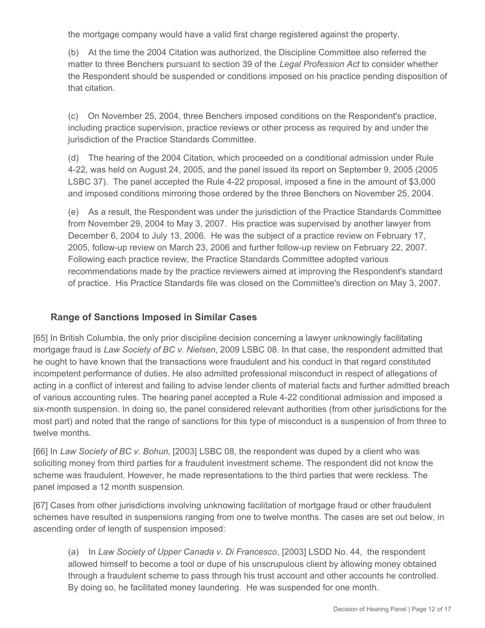the mortgage company would have a valid first charge registered against the property.

(b) At the time the 2004 Citation was authorized, the Discipline Committee also referred the matter to three Benchers pursuant to section 39 of the *Legal Profession Act* to consider whether the Respondent should be suspended or conditions imposed on his practice pending disposition of that citation.

(c) On November 25, 2004, three Benchers imposed conditions on the Respondent's practice, including practice supervision, practice reviews or other process as required by and under the jurisdiction of the Practice Standards Committee.

(d) The hearing of the 2004 Citation, which proceeded on a conditional admission under Rule 4-22, was held on August 24, 2005, and the panel issued its report on September 9, 2005 (2005 LSBC 37). The panel accepted the Rule 4-22 proposal, imposed a fine in the amount of \$3,000 and imposed conditions mirroring those ordered by the three Benchers on November 25, 2004.

(e) As a result, the Respondent was under the jurisdiction of the Practice Standards Committee from November 29, 2004 to May 3, 2007. His practice was supervised by another lawyer from December 6, 2004 to July 13, 2006. He was the subject of a practice review on February 17, 2005, follow-up review on March 23, 2006 and further follow-up review on February 22, 2007. Following each practice review, the Practice Standards Committee adopted various recommendations made by the practice reviewers aimed at improving the Respondent's standard of practice. His Practice Standards file was closed on the Committee's direction on May 3, 2007.

## **Range of Sanctions Imposed in Similar Cases**

[65] In British Columbia, the only prior discipline decision concerning a lawyer unknowingly facilitating mortgage fraud is *Law Society of BC v. Nielsen*, 2009 LSBC 08. In that case, the respondent admitted that he ought to have known that the transactions were fraudulent and his conduct in that regard constituted incompetent performance of duties. He also admitted professional misconduct in respect of allegations of acting in a conflict of interest and failing to advise lender clients of material facts and further admitted breach of various accounting rules. The hearing panel accepted a Rule 4-22 conditional admission and imposed a six-month suspension. In doing so, the panel considered relevant authorities (from other jurisdictions for the most part) and noted that the range of sanctions for this type of misconduct is a suspension of from three to twelve months.

[66] In *Law Society of BC v. Bohun*, [2003] LSBC 08, the respondent was duped by a client who was soliciting money from third parties for a fraudulent investment scheme. The respondent did not know the scheme was fraudulent. However, he made representations to the third parties that were reckless. The panel imposed a 12 month suspension.

[67] Cases from other jurisdictions involving unknowing facilitation of mortgage fraud or other fraudulent schemes have resulted in suspensions ranging from one to twelve months. The cases are set out below, in ascending order of length of suspension imposed:

(a) In *Law Society of Upper Canada v. Di Francesco*, [2003] LSDD No. 44, the respondent allowed himself to become a tool or dupe of his unscrupulous client by allowing money obtained through a fraudulent scheme to pass through his trust account and other accounts he controlled. By doing so, he facilitated money laundering. He was suspended for one month.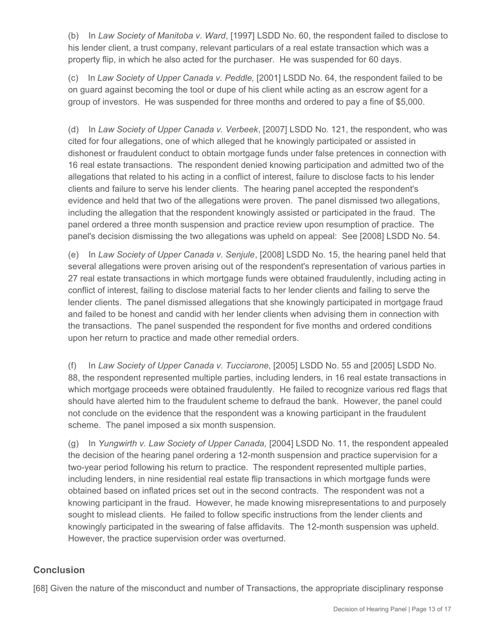(b) In *Law Society of Manitoba v. Ward*, [1997] LSDD No. 60, the respondent failed to disclose to his lender client, a trust company, relevant particulars of a real estate transaction which was a property flip, in which he also acted for the purchaser. He was suspended for 60 days.

(c) In *Law Society of Upper Canada v. Peddle,* [2001] LSDD No. 64, the respondent failed to be on guard against becoming the tool or dupe of his client while acting as an escrow agent for a group of investors. He was suspended for three months and ordered to pay a fine of \$5,000.

(d) In *Law Society of Upper Canada v. Verbeek*, [2007] LSDD No. 121, the respondent, who was cited for four allegations, one of which alleged that he knowingly participated or assisted in dishonest or fraudulent conduct to obtain mortgage funds under false pretences in connection with 16 real estate transactions. The respondent denied knowing participation and admitted two of the allegations that related to his acting in a conflict of interest, failure to disclose facts to his lender clients and failure to serve his lender clients. The hearing panel accepted the respondent's evidence and held that two of the allegations were proven. The panel dismissed two allegations, including the allegation that the respondent knowingly assisted or participated in the fraud. The panel ordered a three month suspension and practice review upon resumption of practice. The panel's decision dismissing the two allegations was upheld on appeal: See [2008] LSDD No. 54.

(e) In *Law Society of Upper Canada v. Senjule*, [2008] LSDD No. 15, the hearing panel held that several allegations were proven arising out of the respondent's representation of various parties in 27 real estate transactions in which mortgage funds were obtained fraudulently, including acting in conflict of interest, failing to disclose material facts to her lender clients and failing to serve the lender clients. The panel dismissed allegations that she knowingly participated in mortgage fraud and failed to be honest and candid with her lender clients when advising them in connection with the transactions. The panel suspended the respondent for five months and ordered conditions upon her return to practice and made other remedial orders.

(f) In *Law Society of Upper Canada v. Tucciarone*, [2005] LSDD No. 55 and [2005] LSDD No. 88, the respondent represented multiple parties, including lenders, in 16 real estate transactions in which mortgage proceeds were obtained fraudulently. He failed to recognize various red flags that should have alerted him to the fraudulent scheme to defraud the bank. However, the panel could not conclude on the evidence that the respondent was a knowing participant in the fraudulent scheme. The panel imposed a six month suspension.

(g) In *Yungwirth v. Law Society of Upper Canada,* [2004] LSDD No. 11, the respondent appealed the decision of the hearing panel ordering a 12-month suspension and practice supervision for a two-year period following his return to practice. The respondent represented multiple parties, including lenders, in nine residential real estate flip transactions in which mortgage funds were obtained based on inflated prices set out in the second contracts. The respondent was not a knowing participant in the fraud. However, he made knowing misrepresentations to and purposely sought to mislead clients. He failed to follow specific instructions from the lender clients and knowingly participated in the swearing of false affidavits. The 12-month suspension was upheld. However, the practice supervision order was overturned.

#### **Conclusion**

[68] Given the nature of the misconduct and number of Transactions, the appropriate disciplinary response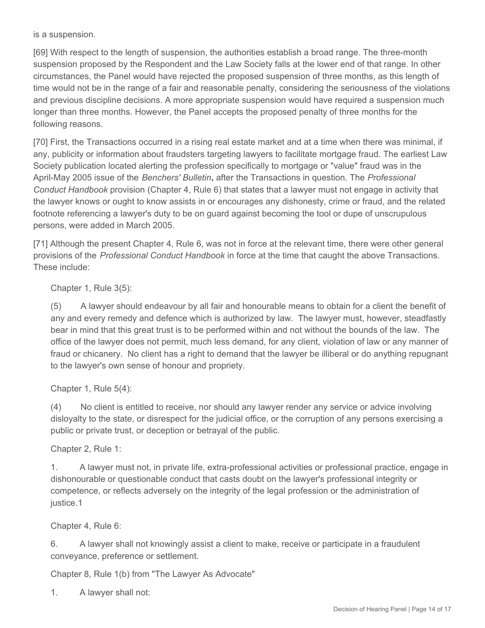is a suspension.

[69] With respect to the length of suspension, the authorities establish a broad range. The three-month suspension proposed by the Respondent and the Law Society falls at the lower end of that range. In other circumstances, the Panel would have rejected the proposed suspension of three months, as this length of time would not be in the range of a fair and reasonable penalty, considering the seriousness of the violations and previous discipline decisions. A more appropriate suspension would have required a suspension much longer than three months. However, the Panel accepts the proposed penalty of three months for the following reasons.

[70] First, the Transactions occurred in a rising real estate market and at a time when there was minimal, if any, publicity or information about fraudsters targeting lawyers to facilitate mortgage fraud. The earliest Law Society publication located alerting the profession specifically to mortgage or "value" fraud was in the April-May 2005 issue of the *Benchers' Bulletin***,** after the Transactions in question. The *Professional Conduct Handbook* provision (Chapter 4, Rule 6) that states that a lawyer must not engage in activity that the lawyer knows or ought to know assists in or encourages any dishonesty, crime or fraud, and the related footnote referencing a lawyer's duty to be on guard against becoming the tool or dupe of unscrupulous persons, were added in March 2005.

[71] Although the present Chapter 4, Rule 6, was not in force at the relevant time, there were other general provisions of the *Professional Conduct Handbook* in force at the time that caught the above Transactions. These include:

Chapter 1, Rule 3(5):

(5) A lawyer should endeavour by all fair and honourable means to obtain for a client the benefit of any and every remedy and defence which is authorized by law. The lawyer must, however, steadfastly bear in mind that this great trust is to be performed within and not without the bounds of the law. The office of the lawyer does not permit, much less demand, for any client, violation of law or any manner of fraud or chicanery. No client has a right to demand that the lawyer be illiberal or do anything repugnant to the lawyer's own sense of honour and propriety.

Chapter 1, Rule 5(4):

(4) No client is entitled to receive, nor should any lawyer render any service or advice involving disloyalty to the state, or disrespect for the judicial office, or the corruption of any persons exercising a public or private trust, or deception or betrayal of the public.

Chapter 2, Rule 1:

1. A lawyer must not, in private life, extra-professional activities or professional practice, engage in dishonourable or questionable conduct that casts doubt on the lawyer's professional integrity or competence, or reflects adversely on the integrity of the legal profession or the administration of justice.1

Chapter 4, Rule 6:

6. A lawyer shall not knowingly assist a client to make, receive or participate in a fraudulent conveyance, preference or settlement.

Chapter 8, Rule 1(b) from "The Lawyer As Advocate"

1. A lawyer shall not: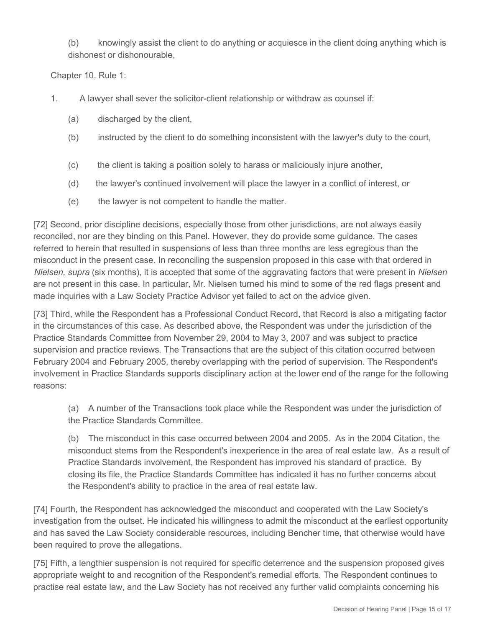(b) knowingly assist the client to do anything or acquiesce in the client doing anything which is dishonest or dishonourable,

Chapter 10, Rule 1:

- 1. A lawyer shall sever the solicitor-client relationship or withdraw as counsel if:
	- (a) discharged by the client,
	- (b) instructed by the client to do something inconsistent with the lawyer's duty to the court,
	- (c) the client is taking a position solely to harass or maliciously injure another,
	- (d) the lawyer's continued involvement will place the lawyer in a conflict of interest, or
	- (e) the lawyer is not competent to handle the matter.

[72] Second, prior discipline decisions, especially those from other jurisdictions, are not always easily reconciled, nor are they binding on this Panel. However, they do provide some guidance. The cases referred to herein that resulted in suspensions of less than three months are less egregious than the misconduct in the present case. In reconciling the suspension proposed in this case with that ordered in *Nielsen, supra* (six months), it is accepted that some of the aggravating factors that were present in *Nielsen*  are not present in this case. In particular, Mr. Nielsen turned his mind to some of the red flags present and made inquiries with a Law Society Practice Advisor yet failed to act on the advice given.

[73] Third, while the Respondent has a Professional Conduct Record, that Record is also a mitigating factor in the circumstances of this case. As described above, the Respondent was under the jurisdiction of the Practice Standards Committee from November 29, 2004 to May 3, 2007 and was subject to practice supervision and practice reviews. The Transactions that are the subject of this citation occurred between February 2004 and February 2005, thereby overlapping with the period of supervision. The Respondent's involvement in Practice Standards supports disciplinary action at the lower end of the range for the following reasons:

(a) A number of the Transactions took place while the Respondent was under the jurisdiction of the Practice Standards Committee.

(b) The misconduct in this case occurred between 2004 and 2005. As in the 2004 Citation, the misconduct stems from the Respondent's inexperience in the area of real estate law. As a result of Practice Standards involvement, the Respondent has improved his standard of practice. By closing its file, the Practice Standards Committee has indicated it has no further concerns about the Respondent's ability to practice in the area of real estate law.

[74] Fourth, the Respondent has acknowledged the misconduct and cooperated with the Law Society's investigation from the outset. He indicated his willingness to admit the misconduct at the earliest opportunity and has saved the Law Society considerable resources, including Bencher time, that otherwise would have been required to prove the allegations.

[75] Fifth, a lengthier suspension is not required for specific deterrence and the suspension proposed gives appropriate weight to and recognition of the Respondent's remedial efforts. The Respondent continues to practise real estate law, and the Law Society has not received any further valid complaints concerning his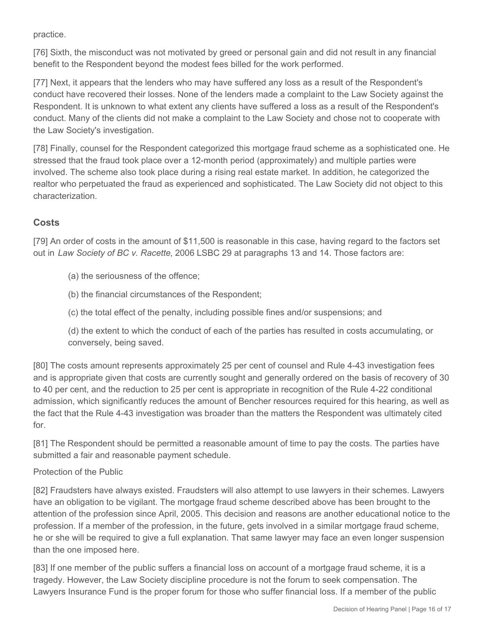practice.

[76] Sixth, the misconduct was not motivated by greed or personal gain and did not result in any financial benefit to the Respondent beyond the modest fees billed for the work performed.

[77] Next, it appears that the lenders who may have suffered any loss as a result of the Respondent's conduct have recovered their losses. None of the lenders made a complaint to the Law Society against the Respondent. It is unknown to what extent any clients have suffered a loss as a result of the Respondent's conduct. Many of the clients did not make a complaint to the Law Society and chose not to cooperate with the Law Society's investigation.

[78] Finally, counsel for the Respondent categorized this mortgage fraud scheme as a sophisticated one. He stressed that the fraud took place over a 12-month period (approximately) and multiple parties were involved. The scheme also took place during a rising real estate market. In addition, he categorized the realtor who perpetuated the fraud as experienced and sophisticated. The Law Society did not object to this characterization.

# **Costs**

[79] An order of costs in the amount of \$11,500 is reasonable in this case, having regard to the factors set out in *Law Society of BC v. Racette*, 2006 LSBC 29 at paragraphs 13 and 14. Those factors are:

(a) the seriousness of the offence;

(b) the financial circumstances of the Respondent;

(c) the total effect of the penalty, including possible fines and/or suspensions; and

(d) the extent to which the conduct of each of the parties has resulted in costs accumulating, or conversely, being saved.

[80] The costs amount represents approximately 25 per cent of counsel and Rule 4-43 investigation fees and is appropriate given that costs are currently sought and generally ordered on the basis of recovery of 30 to 40 per cent, and the reduction to 25 per cent is appropriate in recognition of the Rule 4-22 conditional admission, which significantly reduces the amount of Bencher resources required for this hearing, as well as the fact that the Rule 4-43 investigation was broader than the matters the Respondent was ultimately cited for.

[81] The Respondent should be permitted a reasonable amount of time to pay the costs. The parties have submitted a fair and reasonable payment schedule.

#### Protection of the Public

[82] Fraudsters have always existed. Fraudsters will also attempt to use lawyers in their schemes. Lawyers have an obligation to be vigilant. The mortgage fraud scheme described above has been brought to the attention of the profession since April, 2005. This decision and reasons are another educational notice to the profession. If a member of the profession, in the future, gets involved in a similar mortgage fraud scheme, he or she will be required to give a full explanation. That same lawyer may face an even longer suspension than the one imposed here.

[83] If one member of the public suffers a financial loss on account of a mortgage fraud scheme, it is a tragedy. However, the Law Society discipline procedure is not the forum to seek compensation. The Lawyers Insurance Fund is the proper forum for those who suffer financial loss. If a member of the public